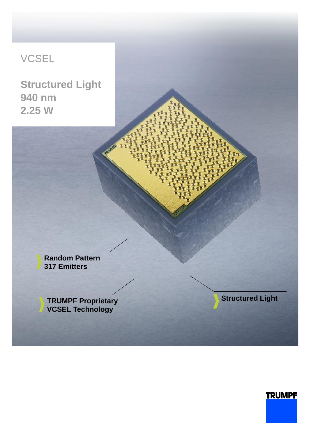## VCSEL

**Structured Light 940 nm 2.25 W**

> **Random Pattern 317 Emitters**

**TRUMPF Proprietary VCSEL Technology**

**Structured Light**

**TRUMPF**